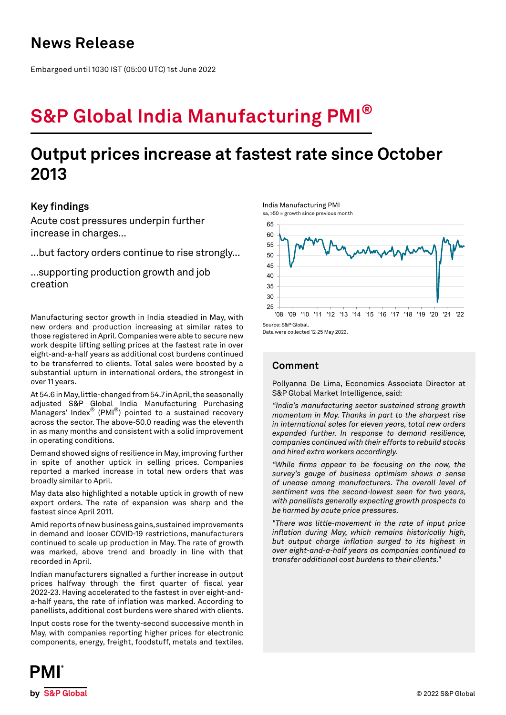## **News Release**

Embargoed until 1030 IST (05:00 UTC) 1st June 2022

# **S&P Global India Manufacturing PMI®**

## **Output prices increase at fastest rate since October 2013**

## **Key findings**

Acute cost pressures underpin further increase in charges...

...but factory orders continue to rise strongly...

...supporting production growth and job creation

Manufacturing sector growth in India steadied in May, with new orders and production increasing at similar rates to those registered in April. Companies were able to secure new work despite lifting selling prices at the fastest rate in over eight-and-a-half years as additional cost burdens continued to be transferred to clients. Total sales were boosted by a substantial upturn in international orders, the strongest in over 11 years.

At 54.6 in May, little-changed from 54.7 in April, the seasonally adjusted S&P Global India Manufacturing Purchasing Managers' Index® (PMI®) pointed to a sustained recovery across the sector. The above-50.0 reading was the eleventh in as many months and consistent with a solid improvement in operating conditions.

Demand showed signs of resilience in May, improving further in spite of another uptick in selling prices. Companies reported a marked increase in total new orders that was broadly similar to April.

May data also highlighted a notable uptick in growth of new export orders. The rate of expansion was sharp and the fastest since April 2011.

Amid reports of new business gains, sustained improvements in demand and looser COVID-19 restrictions, manufacturers continued to scale up production in May. The rate of growth was marked, above trend and broadly in line with that recorded in April.

Indian manufacturers signalled a further increase in output prices halfway through the first quarter of fiscal year 2022-23. Having accelerated to the fastest in over eight-anda-half years, the rate of inflation was marked. According to panellists, additional cost burdens were shared with clients.

Input costs rose for the twenty-second successive month in May, with companies reporting higher prices for electronic components, energy, freight, foodstuff, metals and textiles.





Data were collected 12-25 May 2022.

## **Comment**

Pollyanna De Lima, Economics Associate Director at S&P Global Market Intelligence, said:

*"India's manufacturing sector sustained strong growth momentum in May. Thanks in part to the sharpest rise in international sales for eleven years, total new orders expanded further. In response to demand resilience, companies continued with their efforts to rebuild stocks and hired extra workers accordingly.*

*"While firms appear to be focusing on the now, the survey's gauge of business optimism shows a sense of unease among manufacturers. The overall level of sentiment was the second-lowest seen for two years, with panellists generally expecting growth prospects to be harmed by acute price pressures.*

*"There was little-movement in the rate of input price inflation during May, which remains historically high, but output charge inflation surged to its highest in over eight-and-a-half years as companies continued to transfer additional cost burdens to their clients."*